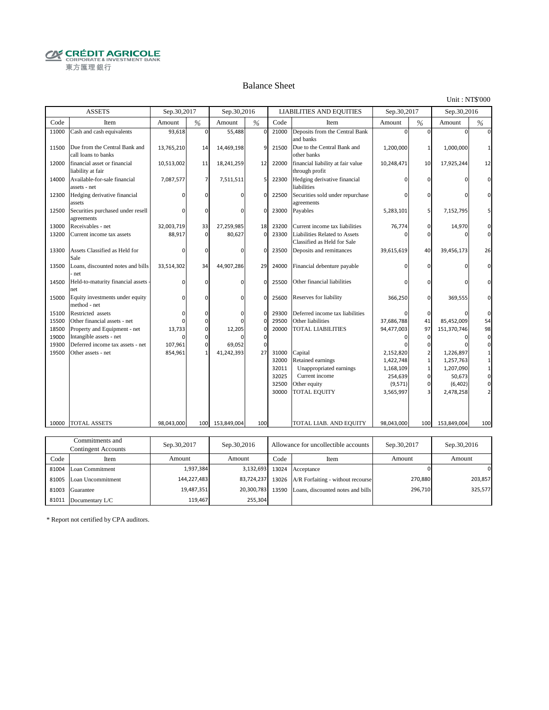**CRÉDIT AGRICOLE** 東方匯理銀行

#### Balance Sheet

Unit : NT\$'000

|       | <b>ASSETS</b>                                        | Sep.30,2017 |                | Sep.30,2016 |             |       | <b>LIABILITIES AND EQUITIES</b>                              | Sep.30,2017 |                | Sep.30,2016 |                 |
|-------|------------------------------------------------------|-------------|----------------|-------------|-------------|-------|--------------------------------------------------------------|-------------|----------------|-------------|-----------------|
| Code  | Item                                                 | Amount      | $\frac{0}{6}$  | Amount      | %           | Code  | Item                                                         | Amount      | $\frac{0}{6}$  | Amount      | $\frac{0}{6}$   |
| 11000 | Cash and cash equivalents                            | 93,618      | $\Omega$       | 55,488      | $\Omega$    | 21000 | Deposits from the Central Bank<br>and banks                  |             | $\Omega$       |             |                 |
| 11500 | Due from the Central Bank and<br>call loans to banks | 13,765,210  | 14             | 14,469,198  | 9           | 21500 | Due to the Central Bank and<br>other banks                   | 1,200,000   | $\mathbf{1}$   | 1,000,000   |                 |
| 12000 | financial asset or financial<br>liability at fair    | 10,513,002  | 11             | 18,241,259  | 12          | 22000 | financial liability at fair value<br>through profit          | 10,248,471  | 10             | 17,925,244  | 12              |
| 14000 | Available-for-sale financial<br>assets - net         | 7,087,577   | $\overline{7}$ | 7,511,511   | 5           | 22300 | Hedging derivative financial<br>liabilities                  |             | $\Omega$       |             | $\Omega$        |
| 12300 | Hedging derivative financial<br>assets               |             | $\Omega$       |             | $\Omega$    | 22500 | Securities sold under repurchase<br>agreements               | ŋ           | $\Omega$       | ŋ           | $\Omega$        |
| 12500 | Securities purchased under resell<br>agreements      |             | $\Omega$       |             | $\mathbf 0$ | 23000 | Payables                                                     | 5,283,101   | 5              | 7,152,795   | 5               |
| 13000 | Receivables - net                                    | 32,003,719  | 33             | 27,259,985  | 18          | 23200 | Current income tax liabilities                               | 76,774      | $\mathbf 0$    | 14,970      | $\mathbf 0$     |
| 13200 | Current income tax assets                            | 88,917      | $\mathbf{0}$   | 80,627      | $\mathbf 0$ | 23300 | Liabilities Related to Assets<br>Classified as Held for Sale |             | $\Omega$       |             | $\overline{0}$  |
| 13300 | Assets Classified as Held for<br>Sale                |             | $\Omega$       | n           | $\Omega$    | 23500 | Deposits and remittances                                     | 39,615,619  | 40             | 39,456,173  | 26              |
| 13500 | Loans, discounted notes and bills<br>net             | 33,514,302  | 34             | 44,907,286  | 29          | 24000 | Financial debenture payable                                  |             | $\mathbf 0$    |             | $\mathbf{0}$    |
| 14500 | Held-to-maturity financial assets<br>net             | 0           | $\mathbf 0$    | 0           | $\Omega$    | 25500 | Other financial liabilities                                  |             | $\Omega$       |             | $\mathbf 0$     |
| 15000 | Equity investments under equity<br>method - net      | O           | $\mathbf 0$    | $\Omega$    | $\mathbf 0$ | 25600 | Reserves for liability                                       | 366,250     | $\mathbf{0}$   | 369,555     | $\mathbf{0}$    |
| 15100 | Restricted assets                                    | $\Omega$    | $\Omega$       | $\Omega$    | $\Omega$    | 29300 | Deferred income tax liabilities                              |             | $\mathbf 0$    |             | $\mathbf 0$     |
| 15500 | Other financial assets - net                         | O           | $\mathbf 0$    |             | $\mathbf 0$ | 29500 | Other liabilities                                            | 37,686,788  | 41             | 85,452,009  | 54              |
| 18500 | Property and Equipment - net                         | 13,733      | $\mathbf{0}$   | 12,205      | $\mathbf 0$ | 20000 | <b>TOTAL LIABILITIES</b>                                     | 94,477,003  | 97             | 151,370,746 | 98              |
| 19000 | Intangible assets - net                              |             | $\Omega$       |             | $\mathbf 0$ |       |                                                              | $\Omega$    | $\Omega$       | O           | $\mathbf 0$     |
| 19300 | Deferred income tax assets - net                     | 107,961     | $\Omega$       | 69.052      | $\Omega$    |       |                                                              |             | $\Omega$       |             | $\mathbf 0$     |
| 19500 | Other assets - net                                   | 854,961     |                | 41,242,393  | 27          | 31000 | Capital                                                      | 2,152,820   | $\overline{2}$ | 1,226,897   | $\mathbf{1}$    |
|       |                                                      |             |                |             |             | 32000 | Retained earnings                                            | 1,422,748   | $\mathbf{1}$   | 1,257,763   | $1\overline{ }$ |
|       |                                                      |             |                |             |             | 32011 | Unappropriated earnings                                      | 1,168,109   | $\mathbf{1}$   | 1,207,090   | $\mathbf 1$     |
|       |                                                      |             |                |             |             | 32025 | Current income                                               | 254,639     | $\mathbf{0}$   | 50,673      | $\mathbf 0$     |
|       |                                                      |             |                |             |             | 32500 | Other equity                                                 | (9, 571)    | $\mathbf{0}$   | (6, 402)    | $\mathbf 0$     |
|       |                                                      |             |                |             |             | 30000 | TOTAL EQUITY                                                 | 3,565,997   | 3              | 2,478,258   | 2 <sup>1</sup>  |
| 10000 | <b>TOTAL ASSETS</b>                                  | 98,043,000  | 100            | 153,849,004 | 100         |       | TOTAL LIAB. AND EQUITY                                       | 98,043,000  | 100            | 153,849,004 | 100             |
|       |                                                      |             |                |             |             |       |                                                              |             |                |             |                 |
|       | Commitments and                                      |             |                |             |             |       |                                                              |             |                |             |                 |

|       | Commitments and<br>Sep.30,2017<br>Contingent Accounts |             | Sep.30,2016      |      | Allowance for uncollectible accounts                 | Sep.30,2017 | Sep.30,2016 |
|-------|-------------------------------------------------------|-------------|------------------|------|------------------------------------------------------|-------------|-------------|
| Code  | Item                                                  | Amount      | Amount           | Code | Item                                                 | Amount      | Amount      |
| 81004 | Loan Commitment                                       | 1.937.384   |                  |      | 3,132,693 13024 Acceptance                           |             |             |
|       | 81005 Loan Uncommitment                               | 144,227,483 |                  |      | 83,724,237 13026 $A/R$ Forfaiting - without recourse | 270,880     | 203,857     |
| 81003 | Guarantee                                             | 19,487,351  | 20,300,783 13590 |      | Loans, discounted notes and bills                    | 296,710     | 325,577     |
|       | 81011 Documentary L/C                                 | 119.467     | 255.304          |      |                                                      |             |             |

\* Report not certified by CPA auditors.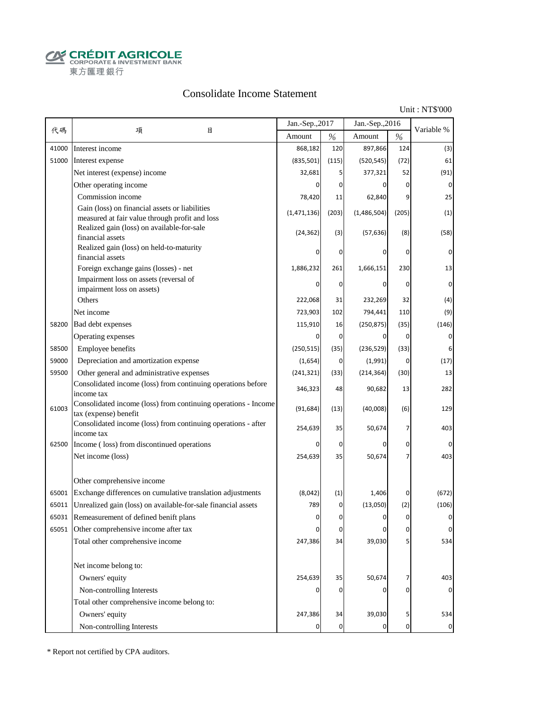**CALCOUT AGRICOLE**<br>
CORPORATE & INVESTMENT BANK<br>
東方匯理銀行

#### Consolidate Income Statement

Unit : NT\$'000

|       |                                                                                                  | Jan.-Sep., 2017 |                | Jan.-Sep., 2016 |                | Variable %     |
|-------|--------------------------------------------------------------------------------------------------|-----------------|----------------|-----------------|----------------|----------------|
| 代碼    | 項<br>目                                                                                           | Amount          | $\%$           | Amount          | $\%$           |                |
| 41000 | Interest income                                                                                  | 868,182         | 120            | 897,866         | 124            | (3)            |
| 51000 | Interest expense                                                                                 | (835, 501)      | (115)          | (520, 545)      | (72)           | 61             |
|       | Net interest (expense) income                                                                    | 32,681          | 5              | 377,321         | 52             | (91)           |
|       | Other operating income                                                                           | <sup>0</sup>    | 0              | 0               | $\mathbf 0$    | $\mathbf 0$    |
|       | Commission income                                                                                | 78,420          | 11             | 62,840          | 9              | 25             |
|       | Gain (loss) on financial assets or liabilities<br>measured at fair value through profit and loss | (1,471,136)     | (203)          | (1,486,504)     | (205)          | (1)            |
|       | Realized gain (loss) on available-for-sale<br>financial assets                                   | (24, 362)       | (3)            | (57, 636)       | (8)            | (58)           |
|       | Realized gain (loss) on held-to-maturity<br>financial assets                                     | O               | 0              | 0               | 0              | 0              |
|       | Foreign exchange gains (losses) - net                                                            | 1,886,232       | 261            | 1,666,151       | 230            | 13             |
|       | Impairment loss on assets (reversal of                                                           |                 | 0              | $\Omega$        | 0              | 0              |
|       | impairment loss on assets)                                                                       |                 |                |                 |                |                |
|       | Others                                                                                           | 222,068         | 31             | 232,269         | 32             | (4)            |
|       | Net income                                                                                       | 723,903         | 102            | 794,441         | 110            | (9)            |
| 58200 | Bad debt expenses                                                                                | 115,910         | 16             | (250, 875)      | (35)           | (146)          |
|       | Operating expenses                                                                               | 0               | 0              | 0               | $\overline{0}$ | 0              |
| 58500 | Employee benefits                                                                                | (250, 515)      | (35)           | (236, 529)      | (33)           | 6              |
| 59000 | Depreciation and amortization expense                                                            | (1,654)         | 0              | (1,991)         | 0              | (17)           |
| 59500 | Other general and administrative expenses                                                        | (241, 321)      | (33)           | (214, 364)      | (30)           | 13             |
|       | Consolidated income (loss) from continuing operations before<br>income tax                       | 346,323         | 48             | 90,682          | 13             | 282            |
| 61003 | Consolidated income (loss) from continuing operations - Income<br>tax (expense) benefit          | (91, 684)       | (13)           | (40,008)        | (6)            | 129            |
|       | Consolidated income (loss) from continuing operations - after<br>income tax                      | 254,639         | 35             | 50,674          | 7              | 403            |
| 62500 | Income (loss) from discontinued operations                                                       | 0               | $\mathbf 0$    | $\Omega$        | $\mathbf 0$    | $\Omega$       |
|       | Net income (loss)                                                                                | 254,639         | 35             | 50,674          |                | 403            |
|       | Other comprehensive income                                                                       |                 |                |                 |                |                |
| 65001 | Exchange differences on cumulative translation adjustments                                       | (8,042)         | (1)            | 1,406           | 0              | (672)          |
| 65011 | Unrealized gain (loss) on available-for-sale financial assets                                    | 789             | 0              | (13,050)        | (2)            | (106)          |
| 65031 | Remeasurement of defined benift plans                                                            |                 | $\Omega$       |                 | $\Omega$       |                |
|       | 65051 Other comprehensive income after tax                                                       | $\Omega$        | $\mathbf 0$    | 0               | $\overline{0}$ | $\mathbf 0$    |
|       | Total other comprehensive income                                                                 | 247,386         | 34             | 39,030          |                | 534            |
|       | Net income belong to:                                                                            |                 |                |                 |                |                |
|       | Owners' equity                                                                                   | 254,639         | 35             | 50,674          | 7              | 403            |
|       | Non-controlling Interests                                                                        |                 | 0              | 0               | O              |                |
|       | Total other comprehensive income belong to:                                                      |                 |                |                 |                |                |
|       | Owners' equity                                                                                   | 247,386         | 34             | 39,030          | 5              | 534            |
|       | Non-controlling Interests                                                                        | 0               | $\overline{0}$ | 0               | $\overline{0}$ | $\overline{0}$ |

\* Report not certified by CPA auditors.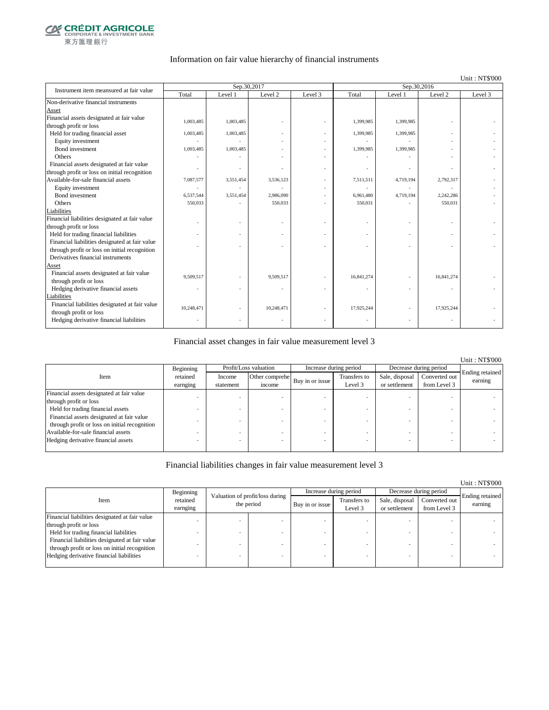

#### Information on fair value hierarchy of financial instruments

#### Unit : NT\$'000

| Instrument item meansured at fair value        |            | Sep.30,2017 |            |         | Sep.30,2016 |           |            |         |
|------------------------------------------------|------------|-------------|------------|---------|-------------|-----------|------------|---------|
|                                                | Total      | Level 1     | Level 2    | Level 3 | Total       | Level 1   | Level 2    | Level 3 |
| Non-derivative financial instruments           |            |             |            |         |             |           |            |         |
| Asset                                          |            |             |            |         |             |           |            |         |
| Financial assets designated at fair value      | 1,003,485  | 1,003,485   |            |         | 1,399,985   | 1,399,985 |            |         |
| through profit or loss                         |            |             |            |         |             |           |            |         |
| Held for trading financial asset               | 1,003,485  | 1,003,485   |            |         | 1,399,985   | 1,399,985 |            |         |
| Equity investment                              |            |             |            |         |             |           |            |         |
| <b>Bond</b> investment                         | 1,003,485  | 1,003,485   |            |         | 1,399,985   | 1,399,985 |            |         |
| Others                                         |            |             |            |         |             |           |            |         |
| Financial assets designated at fair value      |            |             |            |         |             |           |            |         |
| through profit or loss on initial recognition  |            |             |            |         |             |           |            |         |
| Available-for-sale financial assets            | 7,087,577  | 3,551,454   | 3,536,123  |         | 7,511,511   | 4,719,194 | 2,792,317  |         |
| Equity investment                              |            |             |            |         |             |           |            |         |
| Bond investment                                | 6,537,544  | 3,551,454   | 2,986,090  |         | 6,961,480   | 4,719,194 | 2,242,286  |         |
| Others                                         | 550,033    |             | 550,033    |         | 550,031     |           | 550,031    |         |
| Liabilities                                    |            |             |            |         |             |           |            |         |
| Financial liabilities designated at fair value |            |             |            |         |             |           |            |         |
| through profit or loss                         |            |             |            |         |             |           |            |         |
| Held for trading financial liabilities         |            |             |            |         |             |           |            |         |
| Financial liabilities designated at fair value |            |             |            |         |             |           |            |         |
| through profit or loss on initial recognition  |            |             |            |         |             |           |            |         |
| Derivatives financial instruments              |            |             |            |         |             |           |            |         |
| Asset                                          |            |             |            |         |             |           |            |         |
| Financial assets designated at fair value      | 9.509.517  |             | 9,509,517  |         | 16,841,274  |           | 16,841,274 |         |
| through profit or loss                         |            |             |            |         |             |           |            |         |
| Hedging derivative financial assets            |            |             |            |         |             |           | ÷,         |         |
| Liabilities                                    |            |             |            |         |             |           |            |         |
| Financial liabilities designated at fair value | 10,248,471 |             | 10,248,471 |         | 17,925,244  |           | 17,925,244 |         |
| through profit or loss                         |            |             |            |         |             |           |            |         |
| Hedging derivative financial liabilities       |            |             |            |         |             |           |            |         |
|                                                |            |             |            |         |             |           |            |         |

#### Financial asset changes in fair value measurement level 3

|                                               |           |           |                       |                        |              |                        |               | <b>Unit: NT\$'000</b> |
|-----------------------------------------------|-----------|-----------|-----------------------|------------------------|--------------|------------------------|---------------|-----------------------|
|                                               | Beginning |           | Profit/Loss valuation | Increase during period |              | Decrease during period |               |                       |
| Item                                          | retained  | Income    | Other comprehe        |                        | Transfers to | Sale, disposal         | Converted out | Ending retained       |
|                                               | earnging  | statement | income                | Buy in or issue        | Level 3      | or settlement          | from Level 3  | earning               |
| Financial assets designated at fair value     |           |           |                       |                        |              |                        |               |                       |
| through profit or loss                        |           |           |                       |                        |              |                        |               |                       |
| Held for trading financial assets             |           |           |                       |                        |              |                        |               |                       |
| Financial assets designated at fair value     |           |           |                       |                        |              |                        |               |                       |
| through profit or loss on initial recognition |           |           |                       |                        |              |                        |               |                       |
| Available-for-sale financial assets           |           |           |                       |                        |              |                        |               |                       |
| Hedging derivative financial assets           |           |           |                       |                        |              |                        |               |                       |
|                                               |           |           |                       |                        |              |                        |               |                       |

#### Financial liabilities changes in fair value measurement level 3

|                                                |                      |                                               |                 |                         |                                 |                               | Unit: NT\$'000             |
|------------------------------------------------|----------------------|-----------------------------------------------|-----------------|-------------------------|---------------------------------|-------------------------------|----------------------------|
|                                                | Beginning            |                                               |                 | Increase during period  |                                 | Decrease during period        |                            |
| Item                                           | retained<br>earnging | Valuation of profit/loss during<br>the period | Buy in or issue | Transfers to<br>Level 3 | Sale, disposal<br>or settlement | Converted out<br>from Level 3 | Ending retained<br>earning |
| Financial liabilities designated at fair value |                      |                                               |                 |                         |                                 |                               |                            |
| through profit or loss                         |                      |                                               |                 |                         |                                 |                               |                            |
| Held for trading financial liabilities         |                      |                                               |                 |                         |                                 |                               |                            |
| Financial liabilities designated at fair value |                      |                                               |                 |                         |                                 |                               |                            |
| through profit or loss on initial recognition  |                      |                                               |                 |                         |                                 |                               |                            |
| Hedging derivative financial liabilities       |                      |                                               |                 |                         |                                 | $\overline{\phantom{a}}$      |                            |
|                                                |                      |                                               |                 |                         |                                 |                               |                            |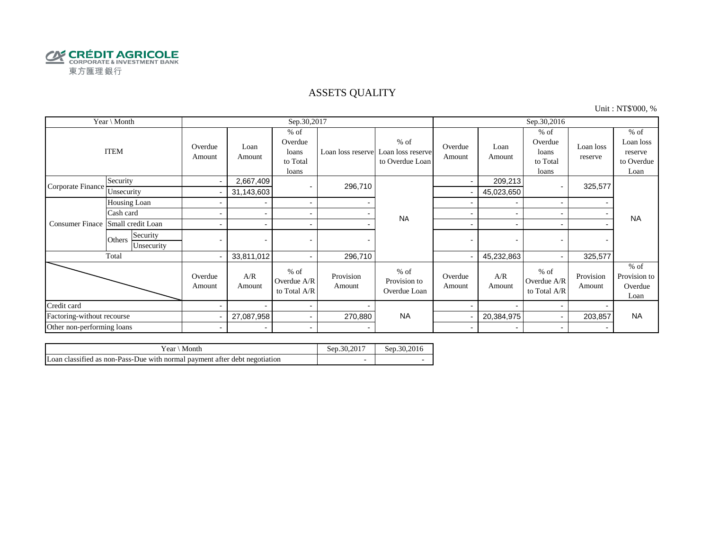

#### ASSETS QUALITY

Unit : NT\$'000, %

| Year \ Month               |                                  |                          |                          | Sep.30,2017                                     |                     |                                                                  | Sep.30,2016              |                          |                                                 |                      |                                                      |
|----------------------------|----------------------------------|--------------------------|--------------------------|-------------------------------------------------|---------------------|------------------------------------------------------------------|--------------------------|--------------------------|-------------------------------------------------|----------------------|------------------------------------------------------|
|                            | <b>ITEM</b>                      | Overdue<br>Amount        | Loan<br>Amount           | $%$ of<br>Overdue<br>loans<br>to Total<br>loans |                     | $%$ of<br>Loan loss reserve Loan loss reserve<br>to Overdue Loan | Overdue<br>Amount        | Loan<br>Amount           | $%$ of<br>Overdue<br>loans<br>to Total<br>loans | Loan loss<br>reserve | $%$ of<br>Loan loss<br>reserve<br>to Overdue<br>Loan |
| Corporate Finance          | Security                         | $\sim$                   | 2,667,409                |                                                 | 296,710             |                                                                  | $\blacksquare$           | 209,213                  |                                                 | 325,577              |                                                      |
|                            | Unsecurity                       |                          | 31,143,603               |                                                 |                     |                                                                  |                          | 45,023,650               |                                                 |                      |                                                      |
|                            | Housing Loan                     |                          |                          | $\sim$                                          |                     |                                                                  |                          | $\overline{\phantom{a}}$ |                                                 |                      |                                                      |
|                            | Cash card                        |                          |                          | $\sim$                                          |                     | <b>NA</b>                                                        |                          |                          |                                                 |                      | <b>NA</b>                                            |
| <b>Consumer Finace</b>     | Small credit Loan                |                          |                          | $\overline{\phantom{a}}$                        |                     |                                                                  | -                        | $\overline{\phantom{0}}$ |                                                 |                      |                                                      |
|                            | Security<br>Others<br>Unsecurity | $\overline{\phantom{0}}$ |                          |                                                 |                     |                                                                  | $\blacksquare$           | $\overline{\phantom{0}}$ |                                                 |                      |                                                      |
|                            | Total                            | $\overline{\phantom{0}}$ | 33,811,012               | $\sim$                                          | 296,710             |                                                                  |                          | 45,232,863               |                                                 | 325,577              |                                                      |
|                            |                                  | Overdue<br>Amount        | A/R<br>Amount            | $%$ of<br>Overdue A/R<br>to Total A/R           | Provision<br>Amount | $%$ of<br>Provision to<br>Overdue Loan                           | Overdue<br>Amount        | A/R<br>Amount            | $%$ of<br>Overdue A/R<br>to Total A/R           | Provision<br>Amount  | $%$ of<br>Provision to<br>Overdue<br>Loan            |
| Credit card                |                                  |                          |                          | $\blacksquare$                                  |                     |                                                                  |                          |                          |                                                 |                      |                                                      |
| Factoring-without recourse |                                  |                          | 27,087,958               | $\sim$                                          | 270,880             | <b>NA</b>                                                        |                          | 20,384,975               |                                                 | 203,857              | <b>NA</b>                                            |
| Other non-performing loans |                                  | $\blacksquare$           | $\overline{\phantom{0}}$ | $\blacksquare$                                  |                     |                                                                  | $\overline{\phantom{0}}$ | $\overline{\phantom{0}}$ | $\overline{\phantom{0}}$                        |                      |                                                      |

| ` Month<br>Year∖                                                           | Sep.30.201 <sup>-</sup> | Sep. 30.2016 |
|----------------------------------------------------------------------------|-------------------------|--------------|
| Loan classified as non-Pass-Due with normal payment after debt negotiation |                         |              |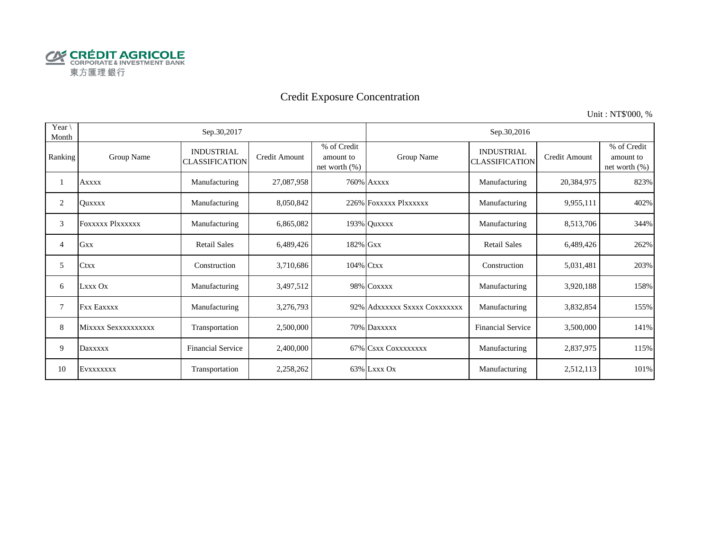

# Credit Exposure Concentration

Unit : NT\$'000, %

| Year $\setminus$<br>Month |                         | Sep.30,2017                                |                      |                                              | Sep.30,2016                  |                                            |               |                                              |  |  |
|---------------------------|-------------------------|--------------------------------------------|----------------------|----------------------------------------------|------------------------------|--------------------------------------------|---------------|----------------------------------------------|--|--|
| Ranking                   | Group Name              | <b>INDUSTRIAL</b><br><b>CLASSIFICATION</b> | <b>Credit Amount</b> | % of Credit<br>amount to<br>net worth $(\%)$ | Group Name                   | <b>INDUSTRIAL</b><br><b>CLASSIFICATION</b> | Credit Amount | % of Credit<br>amount to<br>net worth $(\%)$ |  |  |
|                           | <b>Axxxx</b>            | Manufacturing                              | 27,087,958           |                                              | <b>760% Axxxx</b>            | Manufacturing                              | 20,384,975    | 823%                                         |  |  |
| 2                         | <b>Ouxxxx</b>           | Manufacturing                              | 8,050,842            |                                              | 226% FOXXXXX PlXXXXXX        | Manufacturing                              | 9,955,111     | 402%                                         |  |  |
| 3                         | <b>FOXXXXX PIXXXXXX</b> | Manufacturing                              | 6,865,082            |                                              | 193% Quxxxx                  | Manufacturing                              | 8,513,706     | 344%                                         |  |  |
| 4                         | <b>Gxx</b>              | <b>Retail Sales</b>                        | 6,489,426            | 182% Gxx                                     |                              | <b>Retail Sales</b>                        | 6,489,426     | 262%                                         |  |  |
| 5                         | <b>Ctxx</b>             | Construction                               | 3,710,686            | 104% Ctxx                                    |                              | Construction                               | 5,031,481     | 203%                                         |  |  |
| 6                         | Lxxx Ox                 | Manufacturing                              | 3,497,512            |                                              | 98% COXXXX                   | Manufacturing                              | 3,920,188     | 158%                                         |  |  |
| 7                         | <b>Fxx Eaxxxx</b>       | Manufacturing                              | 3,276,793            |                                              | 92% Adxxxxxx Sxxxx Coxxxxxxx | Manufacturing                              | 3,832,854     | 155%                                         |  |  |
| 8                         | Mixxxx Sexxxxxxxxxx     | Transportation                             | 2,500,000            |                                              | 70% Daxxxxx                  | <b>Financial Service</b>                   | 3,500,000     | 141%                                         |  |  |
| 9                         | Daxxxxx                 | <b>Financial Service</b>                   | 2,400,000            |                                              | 67% CSXX COXXXXXXXX          | Manufacturing                              | 2,837,975     | 115%                                         |  |  |
| 10                        | EVXXXXXXX               | Transportation                             | 2,258,262            |                                              | 63% Lxxx Ox                  | Manufacturing                              | 2,512,113     | 101%                                         |  |  |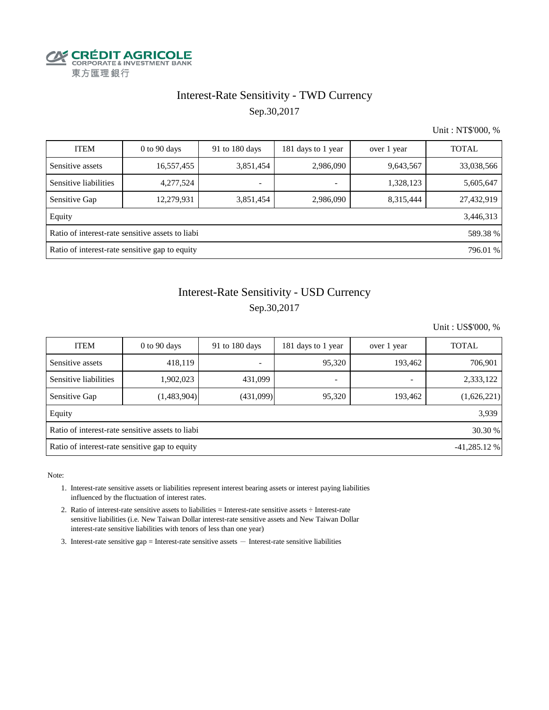

## Interest-Rate Sensitivity - TWD Currency Sep.30,2017

Unit : NT\$'000, %

| <b>ITEM</b>                                                  | $0$ to $90$ days | 91 to 180 days           | 181 days to 1 year       | over 1 year | <b>TOTAL</b> |  |  |  |  |
|--------------------------------------------------------------|------------------|--------------------------|--------------------------|-------------|--------------|--|--|--|--|
| Sensitive assets                                             | 16,557,455       | 3,851,454                | 2,986,090                | 9,643,567   | 33,038,566   |  |  |  |  |
| Sensitive liabilities                                        | 4,277,524        | $\overline{\phantom{0}}$ | $\overline{\phantom{a}}$ | 1,328,123   | 5,605,647    |  |  |  |  |
| Sensitive Gap                                                | 12,279,931       | 3,851,454                | 2,986,090                | 8,315,444   | 27,432,919   |  |  |  |  |
| Equity                                                       |                  |                          |                          |             | 3,446,313    |  |  |  |  |
| Ratio of interest-rate sensitive assets to liabi<br>589.38 % |                  |                          |                          |             |              |  |  |  |  |
| Ratio of interest-rate sensitive gap to equity<br>796.01 %   |                  |                          |                          |             |              |  |  |  |  |

## Interest-Rate Sensitivity - USD Currency Sep.30,2017

Unit : US\$'000, %

| <b>ITEM</b>                                                      | $0$ to 90 days | 91 to 180 days | 181 days to 1 year       | over 1 year              | <b>TOTAL</b> |  |  |  |  |
|------------------------------------------------------------------|----------------|----------------|--------------------------|--------------------------|--------------|--|--|--|--|
| Sensitive assets                                                 | 418,119        |                | 95,320                   | 193,462                  | 706,901      |  |  |  |  |
| Sensitive liabilities                                            | 1,902,023      | 431,099        | $\overline{\phantom{a}}$ | $\overline{\phantom{0}}$ | 2,333,122    |  |  |  |  |
| Sensitive Gap                                                    | (1,483,904)    | (431,099)      | 95,320                   | 193,462                  | (1,626,221)  |  |  |  |  |
| Equity                                                           |                |                |                          |                          | 3,939        |  |  |  |  |
| Ratio of interest-rate sensitive assets to liabi<br>30.30 %      |                |                |                          |                          |              |  |  |  |  |
| Ratio of interest-rate sensitive gap to equity<br>$-41,285.12\%$ |                |                |                          |                          |              |  |  |  |  |

Note:

- 1. Interest-rate sensitive assets or liabilities represent interest bearing assets or interest paying liabilities influenced by the fluctuation of interest rates.
- 2. Ratio of interest-rate sensitive assets to liabilities = Interest-rate sensitive assets ÷ Interest-rate sensitive liabilities (i.e. New Taiwan Dollar interest-rate sensitive assets and New Taiwan Dollar interest-rate sensitive liabilities with tenors of less than one year)
- 3. Interest-rate sensitive gap = Interest-rate sensitive assets  $-$  Interest-rate sensitive liabilities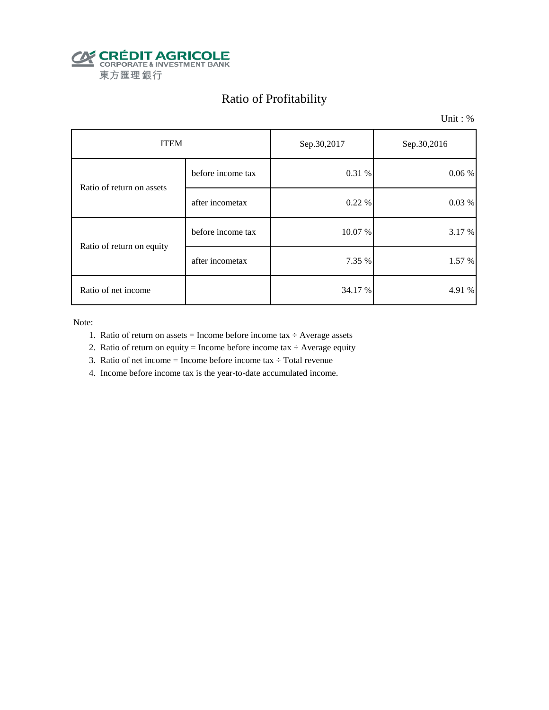

# Ratio of Profitability

Unit : %

| <b>ITEM</b>               |                   | Sep.30,2017 | Sep.30,2016 |  |
|---------------------------|-------------------|-------------|-------------|--|
| Ratio of return on assets | before income tax | 0.31 %      | $0.06\%$    |  |
|                           | after incometax   | 0.22%       | 0.03%       |  |
| Ratio of return on equity | before income tax | 10.07 %     | 3.17 %      |  |
|                           | after incometax   | 7.35 %      | 1.57 %      |  |
| Ratio of net income       |                   | 34.17 %     | 4.91 %      |  |

Note:

- 1. Ratio of return on assets = Income before income tax  $\div$  Average assets
- 2. Ratio of return on equity = Income before income tax  $\div$  Average equity
- 3. Ratio of net income = Income before income tax  $\div$  Total revenue
- 4. Income before income tax is the year-to-date accumulated income.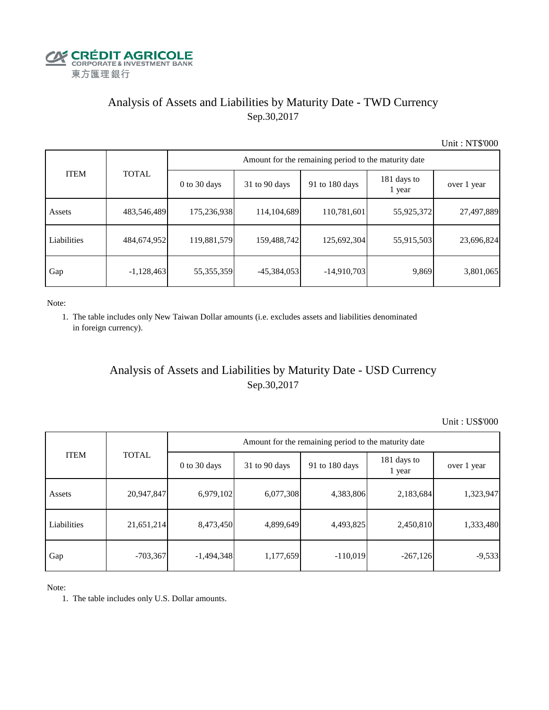

## Analysis of Assets and Liabilities by Maturity Date - TWD Currency Sep.30,2017

Unit : NT\$'000

| <b>ITEM</b> | <b>TOTAL</b> | Amount for the remaining period to the maturity date |                 |                |                       |             |  |  |
|-------------|--------------|------------------------------------------------------|-----------------|----------------|-----------------------|-------------|--|--|
|             |              | $0$ to 30 days                                       | $31$ to 90 days | 91 to 180 days | 181 days to<br>1 year | over 1 year |  |  |
| Assets      | 483,546,489  | 175,236,938                                          | 114,104,689     | 110,781,601    | 55,925,372            | 27,497,889  |  |  |
| Liabilities | 484,674,952  | 119,881,579                                          | 159,488,742     | 125,692,304    | 55,915,503            | 23,696,824  |  |  |
| Gap         | $-1,128,463$ | 55,355,359                                           | $-45,384,053$   | $-14,910,703$  | 9,869                 | 3,801,065   |  |  |

Note:

 1. The table includes only New Taiwan Dollar amounts (i.e. excludes assets and liabilities denominated in foreign currency).

### Analysis of Assets and Liabilities by Maturity Date - USD Currency Sep.30,2017

Unit : US\$'000

|             | <b>TOTAL</b> | Amount for the remaining period to the maturity date |                 |                |                       |             |  |  |
|-------------|--------------|------------------------------------------------------|-----------------|----------------|-----------------------|-------------|--|--|
| <b>ITEM</b> |              | $0$ to 30 days                                       | $31$ to 90 days | 91 to 180 days | 181 days to<br>1 year | over 1 year |  |  |
| Assets      | 20,947,847   | 6,979,102                                            | 6,077,308       | 4,383,806      | 2,183,684             | 1,323,947   |  |  |
| Liabilities | 21,651,214   | 8,473,450                                            | 4,899,649       | 4,493,825      | 2,450,810             | 1,333,480   |  |  |
| Gap         | $-703,367$   | $-1,494,348$                                         | 1,177,659       | $-110,019$     | $-267,126$            | $-9,533$    |  |  |

Note:

1. The table includes only U.S. Dollar amounts.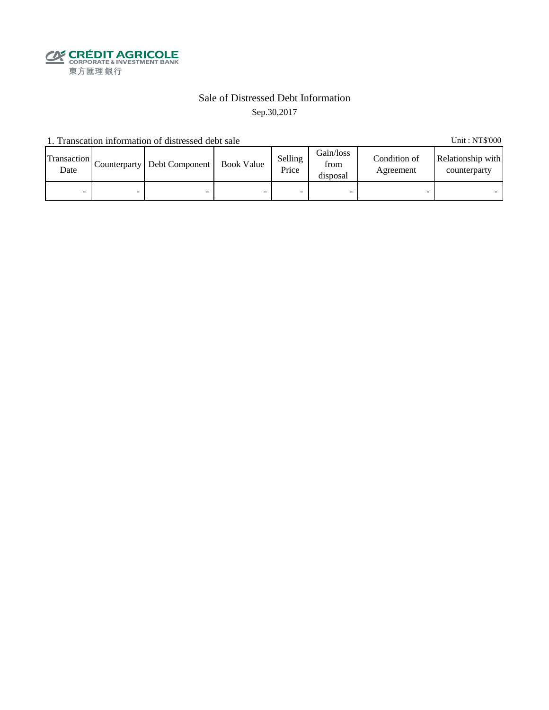

#### Sale of Distressed Debt Information Sep.30,2017

1. Transcation information of distressed debt sale Unit: NT\$'000

Transaction  $\frac{\text{D}}{\text{Date}}$  Counterparty Debt Component Book Value Selling Price Gain/loss from disposal Condition of Agreement Relationship with counterparty - - - - - - - -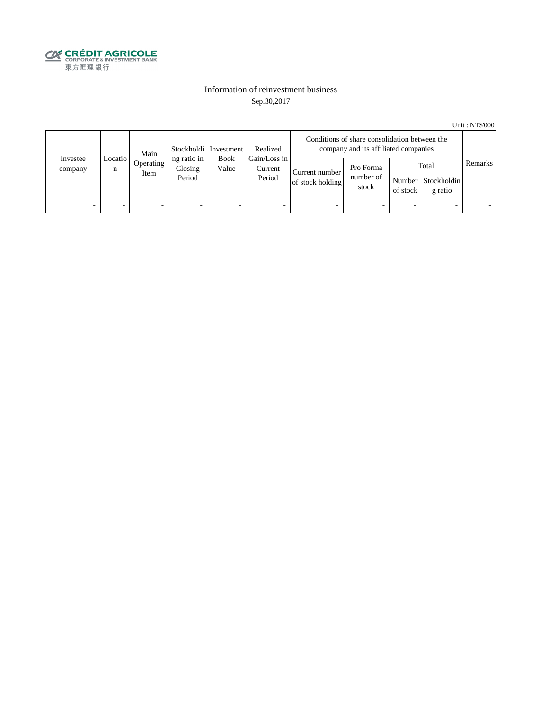

#### Information of reinvestment business Sep.30,2017

Unit : NT\$'000

| Investee<br>company | Main<br>Locatio  <br>n<br>Item |           | Stockholdi   Investment<br>ng ratio in<br><b>Book</b><br>Closing<br>Value<br>Period | Realized | Conditions of share consolidation between the<br>company and its affiliated companies |                                    |                                 |                          |                                        |         |
|---------------------|--------------------------------|-----------|-------------------------------------------------------------------------------------|----------|---------------------------------------------------------------------------------------|------------------------------------|---------------------------------|--------------------------|----------------------------------------|---------|
|                     |                                | Operating |                                                                                     |          | Gain/Loss in<br>Current<br>Period                                                     | Current number<br>of stock holding | Pro Forma<br>number of<br>stock | of stock                 | Total<br>Number Stockholdin<br>g ratio | Remarks |
| -                   |                                | -         | $\overline{\phantom{0}}$                                                            | -        | $\overline{\phantom{a}}$                                                              | -                                  |                                 | $\overline{\phantom{0}}$ |                                        |         |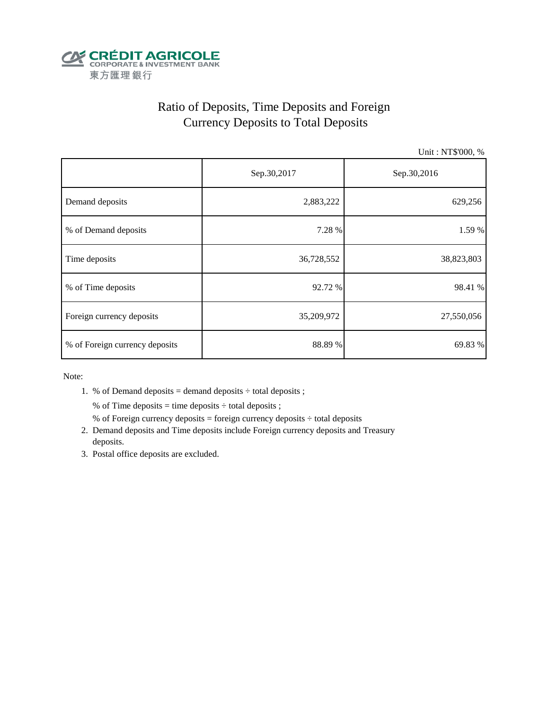

## Ratio of Deposits, Time Deposits and Foreign Currency Deposits to Total Deposits

Unit : NT\$'000, %

|                                | Sep.30,2017 | Sep.30,2016 |  |  |
|--------------------------------|-------------|-------------|--|--|
| Demand deposits                | 2,883,222   | 629,256     |  |  |
| % of Demand deposits           | 7.28 %      | 1.59 %      |  |  |
| Time deposits                  | 36,728,552  | 38,823,803  |  |  |
| % of Time deposits             | 92.72 %     | 98.41 %     |  |  |
| Foreign currency deposits      | 35,209,972  | 27,550,056  |  |  |
| % of Foreign currency deposits | 88.89%      | 69.83 %     |  |  |

Note:

1. % of Demand deposits = demand deposits  $\div$  total deposits ;

% of Time deposits = time deposits  $\div$  total deposits ;

- % of Foreign currency deposits = foreign currency deposits  $\div$  total deposits
- 2. Demand deposits and Time deposits include Foreign currency deposits and Treasury deposits.
- 3. Postal office deposits are excluded.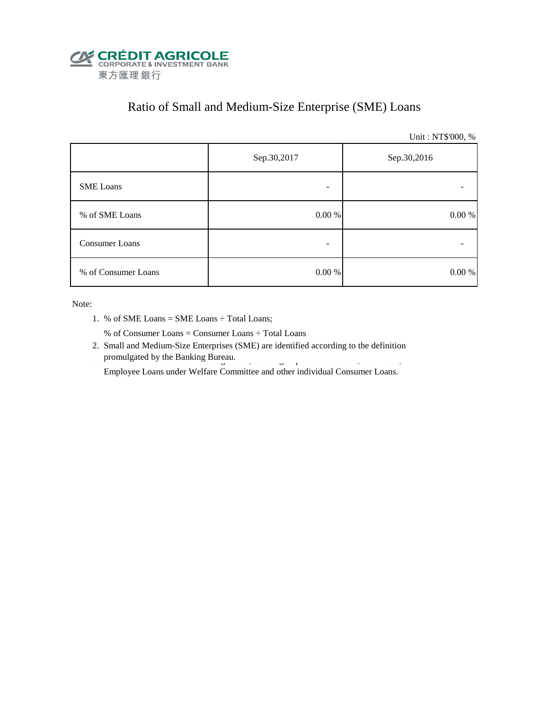

## Ratio of Small and Medium-Size Enterprise (SME) Loans

Unit : NT\$'000, %

|                     | Sep.30,2017 | Sep.30,2016 |  |  |
|---------------------|-------------|-------------|--|--|
| <b>SME</b> Loans    | -           |             |  |  |
| % of SME Loans      | $0.00~\%$   | $0.00~\%$   |  |  |
| Consumer Loans      |             |             |  |  |
| % of Consumer Loans | 0.00 %      | 0.00 %      |  |  |

Note:

1. % of SME Loans = SME Loans ÷ Total Loans;

% of Consumer Loans = Consumer Loans ÷ Total Loans

 2. Small and Medium-Size Enterprises (SME) are identified according to the definition promulgated by the Banking Bureau.

Employee Loans under Welfare Committee and other individual Consumer Loans.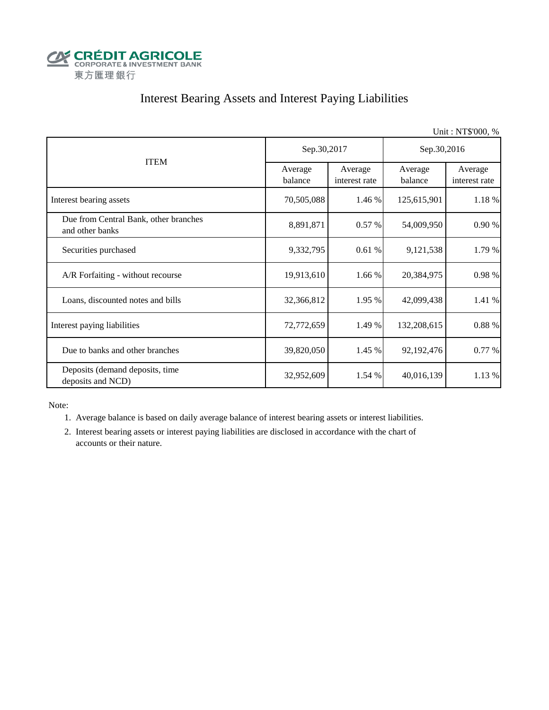

## Interest Bearing Assets and Interest Paying Liabilities

|                                                          |                    |                          |                    | Unit: NT\$'000, %        |  |
|----------------------------------------------------------|--------------------|--------------------------|--------------------|--------------------------|--|
|                                                          | Sep.30,2017        |                          | Sep.30,2016        |                          |  |
| <b>ITEM</b>                                              | Average<br>balance | Average<br>interest rate | Average<br>balance | Average<br>interest rate |  |
| Interest bearing assets                                  | 70,505,088         | 1.46 %                   | 125,615,901        | 1.18 %                   |  |
| Due from Central Bank, other branches<br>and other banks | 8,891,871          | 0.57%                    | 54,009,950         | 0.90%                    |  |
| Securities purchased                                     | 9,332,795          | 0.61%                    | 9,121,538          | 1.79 %                   |  |
| A/R Forfaiting - without recourse                        | 19,913,610         | 1.66 %                   | 20,384,975         | 0.98 %                   |  |
| Loans, discounted notes and bills                        | 32,366,812         | 1.95 %                   | 42,099,438         | 1.41 %                   |  |
| Interest paying liabilities                              | 72,772,659         | 1.49 %                   | 132,208,615        | 0.88 %                   |  |
| Due to banks and other branches                          | 39,820,050         | 1.45 %                   | 92,192,476         | 0.77 %                   |  |
| Deposits (demand deposits, time<br>deposits and NCD)     | 32,952,609         | 1.54 %                   | 40,016,139         | 1.13 %                   |  |

Note:

1. Average balance is based on daily average balance of interest bearing assets or interest liabilities.

 2. Interest bearing assets or interest paying liabilities are disclosed in accordance with the chart of accounts or their nature.